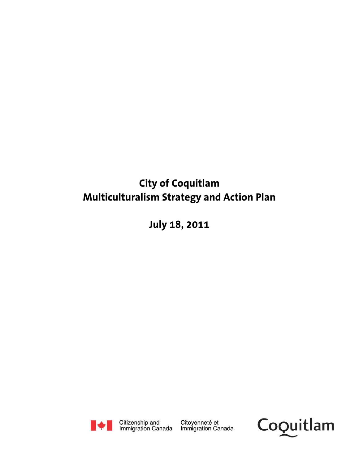# **City of Coquitlam Multiculturalism Strategy and Action Plan**

**July 18, 2011** 



Citizenship and<br>Immigration Canada

Citoyenneté et Immigration Canada

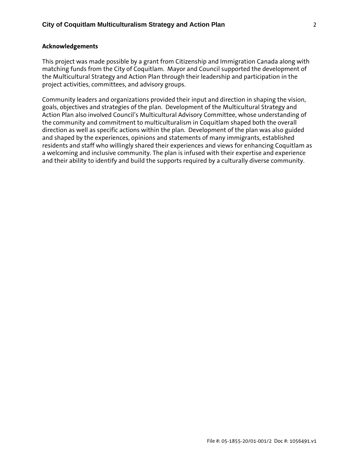### **Acknowledgements**

This project was made possible by a grant from Citizenship and Immigration Canada along with matching funds from the City of Coquitlam. Mayor and Council supported the development of the Multicultural Strategy and Action Plan through their leadership and participation in the project activities, committees, and advisory groups.

Community leaders and organizations provided their input and direction in shaping the vision, goals, objectives and strategies of the plan. Development of the Multicultural Strategy and Action Plan also involved Council's Multicultural Advisory Committee, whose understanding of the community and commitment to multiculturalism in Coquitlam shaped both the overall direction as well as specific actions within the plan. Development of the plan was also guided and shaped by the experiences, opinions and statements of many immigrants, established residents and staff who willingly shared their experiences and views for enhancing Coquitlam as a welcoming and inclusive community. The plan is infused with their expertise and experience and their ability to identify and build the supports required by a culturally diverse community.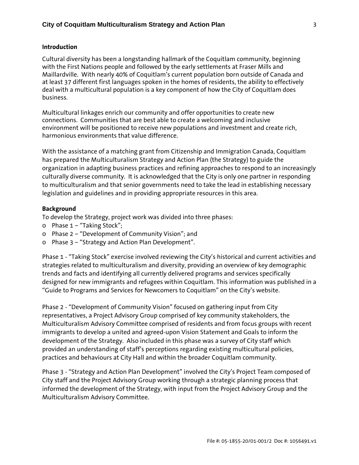#### **Introduction**

Cultural diversity has been a longstanding hallmark of the Coquitlam community, beginning with the First Nations people and followed by the early settlements at Fraser Mills and Maillardville. With nearly 40% of Coquitlam's current population born outside of Canada and at least 37 different first languages spoken in the homes of residents, the ability to effectively deal with a multicultural population is a key component of how the City of Coquitlam does business.

Multicultural linkages enrich our community and offer opportunities to create new connections. Communities that are best able to create a welcoming and inclusive environment will be positioned to receive new populations and investment and create rich, harmonious environments that value difference.

With the assistance of a matching grant from Citizenship and Immigration Canada, Coquitlam has prepared the Multiculturalism Strategy and Action Plan (the Strategy) to guide the organization in adapting business practices and refining approaches to respond to an increasingly culturally diverse community. It is acknowledged that the City is only one partner in responding to multiculturalism and that senior governments need to take the lead in establishing necessary legislation and guidelines and in providing appropriate resources in this area.

#### **Background**

To develop the Strategy, project work was divided into three phases:

- o Phase 1 "Taking Stock";
- o Phase 2 "Development of Community Vision"; and
- o Phase 3 "Strategy and Action Plan Development".

Phase 1 - "Taking Stock" exercise involved reviewing the City's historical and current activities and strategies related to multiculturalism and diversity, providing an overview of key demographic trends and facts and identifying all currently delivered programs and services specifically designed for new immigrants and refugees within Coquitlam. This information was published in a "Guide to Programs and Services for Newcomers to Coquitlam" on the City's website.

Phase 2 - "Development of Community Vision" focused on gathering input from City representatives, a Project Advisory Group comprised of key community stakeholders, the Multiculturalism Advisory Committee comprised of residents and from focus groups with recent immigrants to develop a united and agreed-upon Vision Statement and Goals to inform the development of the Strategy. Also included in this phase was a survey of City staff which provided an understanding of staff's perceptions regarding existing multicultural policies, practices and behaviours at City Hall and within the broader Coquitlam community.

Phase 3 - "Strategy and Action Plan Development" involved the City's Project Team composed of City staff and the Project Advisory Group working through a strategic planning process that informed the development of the Strategy, with input from the Project Advisory Group and the Multiculturalism Advisory Committee.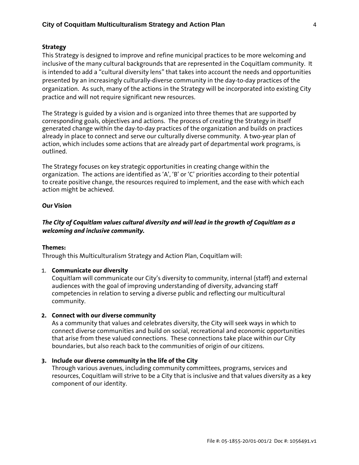## **Strategy**

This Strategy is designed to improve and refine municipal practices to be more welcoming and inclusive of the many cultural backgrounds that are represented in the Coquitlam community. It is intended to add a "cultural diversity lens" that takes into account the needs and opportunities presented by an increasingly culturally-diverse community in the day-to-day practices of the organization. As such, many of the actions in the Strategy will be incorporated into existing City practice and will not require significant new resources.

The Strategy is guided by a vision and is organized into three themes that are supported by corresponding goals, objectives and actions. The process of creating the Strategy in itself generated change within the day-to-day practices of the organization and builds on practices already in place to connect and serve our culturally diverse community. A two-year plan of action, which includes some actions that are already part of departmental work programs, is outlined.

The Strategy focuses on key strategic opportunities in creating change within the organization. The actions are identified as 'A', 'B' or 'C' priorities according to their potential to create positive change, the resources required to implement, and the ease with which each action might be achieved.

## **Our Vision**

# *The City of Coquitlam values cultural diversity and will lead in the growth of Coquitlam as a welcoming and inclusive community.*

#### **Themes:**

Through this Multiculturalism Strategy and Action Plan, Coquitlam will:

#### 1. **Communicate our diversity**

Coquitlam will communicate our City's diversity to community, internal (staff) and external audiences with the goal of improving understanding of diversity, advancing staff competencies in relation to serving a diverse public and reflecting our multicultural community.

#### **2. Connect with our diverse community**

As a community that values and celebrates diversity, the City will seek ways in which to connect diverse communities and build on social, recreational and economic opportunities that arise from these valued connections. These connections take place within our City boundaries, but also reach back to the communities of origin of our citizens.

#### **3. Include our diverse community in the life of the City**

Through various avenues, including community committees, programs, services and resources, Coquitlam will strive to be a City that is inclusive and that values diversity as a key component of our identity.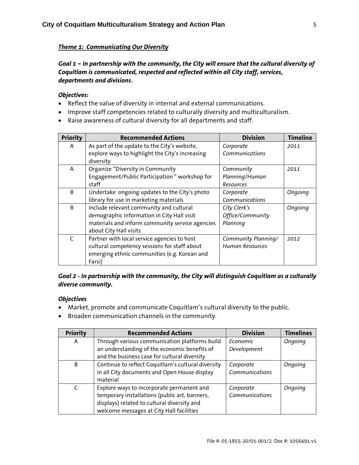# *Theme 1: Communicating Our Diversity*

*Goal 1 – In partnership with the community, the City will ensure that the cultural diversity of Coquitlam is communicated, respected and reflected within all City staff, services, departments and divisions.* 

## *Objectives:*

- Reflect the value of diversity in internal and external communications.
- Improve staff competencies related to culturally diversity and multiculturalism.
- Raise awareness of cultural diversity for all departments and staff.

| <b>Priority</b> | <b>Recommended Actions</b>                      | <b>Division</b>        | <b>Timeline</b> |
|-----------------|-------------------------------------------------|------------------------|-----------------|
| A               | As part of the update to the City's website,    | Corporate              | 2011            |
|                 | explore ways to highlight the City's increasing | Communications         |                 |
|                 | diversity                                       |                        |                 |
| A               | Organize "Diversity in Community                | Community              | 2011            |
|                 | Engagement/Public Participation " workshop for  | Planning/Human         |                 |
|                 | staff                                           | Resources              |                 |
| B               | Undertake ongoing updates to the City's photo   | Corporate              | Ongoing         |
|                 | library for use in marketing materials          | Communications         |                 |
| B               | Include relevant community and cultural         | City Clerk's           | Ongoing         |
|                 | demographic information in City Hall visit      | Office/Community       |                 |
|                 | materials and inform community service agencies | Planning               |                 |
|                 | about City Hall visits                          |                        |                 |
| $\epsilon$      | Partner with local service agencies to host     | Community Planning/    | 2012            |
|                 | cultural competency sessions for staff about    | <b>Human Resources</b> |                 |
|                 | emerging ethnic communities (e.g. Korean and    |                        |                 |
|                 | Farsi)                                          |                        |                 |

# *Goal 2 - In partnership with the community, the City will distinguish Coquitlam as a culturally diverse community.*

## *Objectives*

- Market, promote and communicate Coquitlam's cultural diversity to the public.
- Broaden communication channels in the community.

| <b>Priority</b> | <b>Recommended Actions</b>                         | <b>Division</b> | <b>Timelines</b> |
|-----------------|----------------------------------------------------|-----------------|------------------|
| A               | Through various communication platforms build      | Economic        | Ongoing          |
|                 | an understanding of the economic benefits of       | Development     |                  |
|                 | and the business case for cultural diversity       |                 |                  |
| B               | Continue to reflect Coquitlam's cultural diversity | Corporate       | Ongoing          |
|                 | in all City documents and Open House display       | Communications  |                  |
|                 | material                                           |                 |                  |
| $\mathsf{C}$    | Explore ways to incorporate permanent and          | Corporate       | Ongoing          |
|                 | temporary installations (public art, banners,      | Communications  |                  |
|                 | displays) related to cultural diversity and        |                 |                  |
|                 | welcome messages at City Hall facilities           |                 |                  |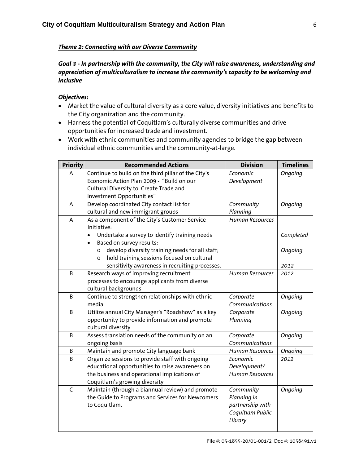# *Theme 2: Connecting with our Diverse Community*

# *Goal 3 - In partnership with the community, the City will raise awareness, understanding and appreciation of multiculturalism to increase the community's capacity to be welcoming and inclusive*

# *Objectives:*

- Market the value of cultural diversity as a core value, diversity initiatives and benefits to the City organization and the community.
- Harness the potential of Coquitlam's culturally diverse communities and drive opportunities for increased trade and investment.
- Work with ethnic communities and community agencies to bridge the gap between individual ethnic communities and the community-at-large.

| <b>Priority</b> | <b>Recommended Actions</b>                                                                 | <b>Division</b>             | <b>Timelines</b> |
|-----------------|--------------------------------------------------------------------------------------------|-----------------------------|------------------|
| A               | Continue to build on the third pillar of the City's                                        | Economic                    | Ongoing          |
|                 | Economic Action Plan 2009 - "Build on our                                                  | Development                 |                  |
|                 | Cultural Diversity to Create Trade and                                                     |                             |                  |
|                 | Investment Opportunities"                                                                  |                             |                  |
| А               | Develop coordinated City contact list for                                                  | Community                   | Ongoing          |
|                 | cultural and new immigrant groups                                                          | Planning                    |                  |
| A               | As a component of the City's Customer Service                                              | <b>Human Resources</b>      |                  |
|                 | Initiative:                                                                                |                             |                  |
|                 | Undertake a survey to identify training needs<br>$\bullet$                                 |                             | Completed        |
|                 | Based on survey results:                                                                   |                             |                  |
|                 | develop diversity training needs for all staff;<br>$\circ$                                 |                             | Ongoing          |
|                 | hold training sessions focused on cultural<br>$\circ$                                      |                             |                  |
|                 | sensitivity awareness in recruiting processes.                                             |                             | 2012             |
| B               | Research ways of improving recruitment                                                     | <b>Human Resources</b>      | 2012             |
|                 | processes to encourage applicants from diverse                                             |                             |                  |
|                 | cultural backgrounds                                                                       |                             |                  |
| B               | Continue to strengthen relationships with ethnic                                           | Corporate                   | Ongoing          |
|                 | media                                                                                      | Communications              |                  |
| B               | Utilize annual City Manager's "Roadshow" as a key                                          | Corporate                   | Ongoing          |
|                 | opportunity to provide information and promote                                             | Planning                    |                  |
| B               | cultural diversity                                                                         |                             |                  |
|                 | Assess translation needs of the community on an<br>ongoing basis                           | Corporate<br>Communications | Ongoing          |
| B               |                                                                                            | <b>Human Resources</b>      |                  |
| B               | Maintain and promote City language bank<br>Organize sessions to provide staff with ongoing | Economic                    | Ongoing<br>2012  |
|                 | educational opportunities to raise awareness on                                            | Development/                |                  |
|                 | the business and operational implications of                                               | <b>Human Resources</b>      |                  |
|                 | Coquitlam's growing diversity                                                              |                             |                  |
| $\mathsf{C}$    | Maintain (through a biannual review) and promote                                           | Community                   | Ongoing          |
|                 | the Guide to Programs and Services for Newcomers                                           | Planning in                 |                  |
|                 | to Coquitlam.                                                                              | partnership with            |                  |
|                 |                                                                                            | Coquitlam Public            |                  |
|                 |                                                                                            | Library                     |                  |
|                 |                                                                                            |                             |                  |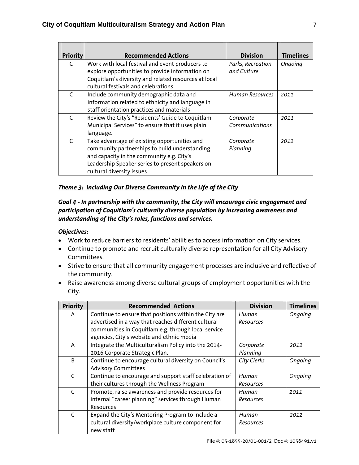| <b>Priority</b> | <b>Recommended Actions</b>                                                                                                                                                                                                  | <b>Division</b>                  | <b>Timelines</b> |
|-----------------|-----------------------------------------------------------------------------------------------------------------------------------------------------------------------------------------------------------------------------|----------------------------------|------------------|
| C               | Work with local festival and event producers to<br>explore opportunities to provide information on<br>Coquitlam's diversity and related resources at local<br>cultural festivals and celebrations                           | Parks, Recreation<br>and Culture | Ongoing          |
| $\mathsf{C}$    | Include community demographic data and<br>information related to ethnicity and language in<br>staff orientation practices and materials                                                                                     | <b>Human Resources</b>           | 2011             |
|                 | Review the City's "Residents' Guide to Coquitlam<br>Municipal Services" to ensure that it uses plain<br>language.                                                                                                           | Corporate<br>Communications      | 2011             |
| $\epsilon$      | Take advantage of existing opportunities and<br>community partnerships to build understanding<br>and capacity in the community e.g. City's<br>Leadership Speaker series to present speakers on<br>cultural diversity issues | Corporate<br>Planning            | 2012             |

# *Theme 3: Including Our Diverse Community in the Life of the City*

# *Goal 4 - In partnership with the community, the City will encourage civic engagement and participation of Coquitlam's culturally diverse population by increasing awareness and understanding of the City's roles, functions and services.*

## *Objectives:*

- Work to reduce barriers to residents' abilities to access information on City services.
- Continue to promote and recruit culturally diverse representation for all City Advisory Committees.
- Strive to ensure that all community engagement processes are inclusive and reflective of the community.
- Raise awareness among diverse cultural groups of employment opportunities with the City.

| <b>Priority</b> | <b>Recommended Actions</b>                                      | <b>Division</b> | <b>Timelines</b> |
|-----------------|-----------------------------------------------------------------|-----------------|------------------|
| A               | Continue to ensure that positions within the City are           | Human           | Ongoing          |
|                 | advertised in a way that reaches different cultural             | Resources       |                  |
|                 | communities in Coquitlam e.g. through local service             |                 |                  |
|                 | agencies, City's website and ethnic media                       |                 |                  |
| A               | Integrate the Multiculturalism Policy into the 2014-            | Corporate       | 2012             |
|                 | 2016 Corporate Strategic Plan.                                  | Planning        |                  |
| B               | Continue to encourage cultural diversity on Council's           | City Clerks     | Ongoing          |
|                 | <b>Advisory Committees</b>                                      |                 |                  |
| C               | Continue to encourage and support staff celebration of          | Human           | Ongoing          |
|                 | their cultures through the Wellness Program                     | Resources       |                  |
| C               | Promote, raise awareness and provide resources for              | Human           | 2011             |
|                 | internal "career planning" services through Human               | Resources       |                  |
|                 | Resources                                                       |                 |                  |
| $\mathsf{C}$    | Expand the City's Mentoring Program to include a                | Human           | 2012             |
|                 | cultural diversity/workplace culture component for<br>new staff | Resources       |                  |